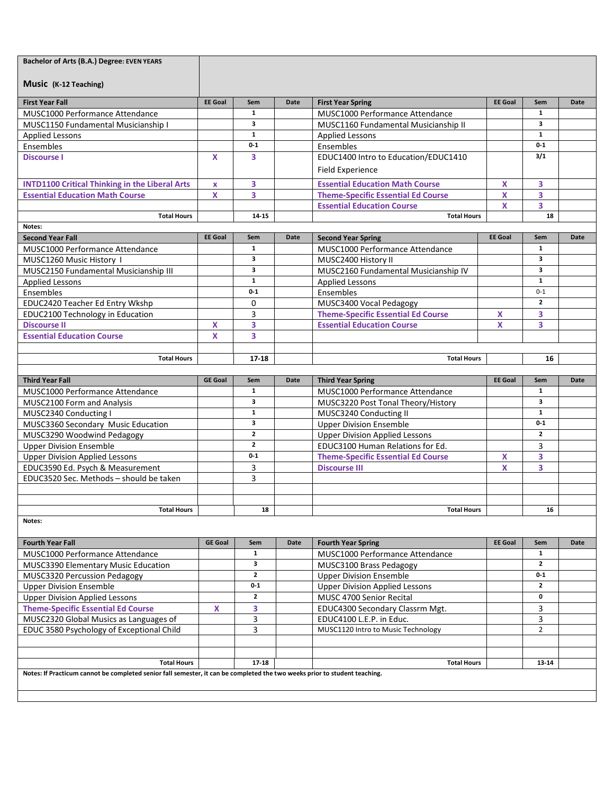| Music (K-12 Teaching)<br><b>First Year Fall</b><br><b>EE Goal</b><br><b>EE Goal</b><br>Sem<br>Date<br><b>First Year Spring</b><br>Sem<br>Date<br>$\mathbf{1}$<br>$\mathbf{1}$<br>MUSC1000 Performance Attendance<br><b>MUSC1000 Performance Attendance</b><br>3<br>3<br><b>MUSC1150 Fundamental Musicianship I</b><br>MUSC1160 Fundamental Musicianship II<br>$\mathbf{1}$<br>$\mathbf{1}$<br><b>Applied Lessons</b><br><b>Applied Lessons</b><br>$0-1$<br>$0 - 1$<br>Ensembles<br>Ensembles<br>3/1<br><b>Discourse I</b><br>3<br>EDUC1400 Intro to Education/EDUC1410<br>x<br><b>Field Experience</b><br>3<br><b>Essential Education Math Course</b><br>X<br>3<br><b>INTD1100 Critical Thinking in the Liberal Arts</b><br>$\pmb{\mathsf{x}}$<br>3<br><b>Essential Education Math Course</b><br>X<br><b>Theme-Specific Essential Ed Course</b><br>X<br>3<br>3<br>X<br><b>Essential Education Course</b><br><b>Total Hours</b><br>14-15<br><b>Total Hours</b><br>18<br>Notes:<br><b>EE Goal</b><br><b>Second Year Fall</b><br>Sem<br>Date<br><b>Second Year Spring</b><br><b>EE</b> Goal<br>Sem<br><b>Date</b><br>1<br>$\mathbf{1}$<br>MUSC1000 Performance Attendance<br>MUSC1000 Performance Attendance<br>3<br>3<br>MUSC1260 Music History I<br>MUSC2400 History II<br>3<br>3<br>MUSC2150 Fundamental Musicianship III<br>MUSC2160 Fundamental Musicianship IV<br>$\mathbf{1}$<br>$\mathbf{1}$<br><b>Applied Lessons</b><br><b>Applied Lessons</b><br>$0 - 1$<br>$0 - 1$<br>Ensembles<br>Ensembles<br>$\overline{2}$<br>EDUC2420 Teacher Ed Entry Wkshp<br>0<br>MUSC3400 Vocal Pedagogy<br>3<br>EDUC2100 Technology in Education<br><b>Theme-Specific Essential Ed Course</b><br>3<br>X<br>3<br>3<br><b>Discourse II</b><br><b>Essential Education Course</b><br>X<br>X<br>$\overline{\mathbf{3}}$<br><b>Essential Education Course</b><br>X<br><b>Total Hours</b><br>17-18<br><b>Total Hours</b><br>16<br><b>Third Year Fall</b><br><b>GE Goal</b><br>Sem<br>Date<br><b>Third Year Spring</b><br><b>EE</b> Goal<br>Sem<br>Date<br>$\mathbf{1}$<br>$\mathbf{1}$<br>MUSC1000 Performance Attendance<br>MUSC1000 Performance Attendance<br>3<br>3<br>MUSC2100 Form and Analysis<br>MUSC3220 Post Tonal Theory/History<br>$\mathbf{1}$<br>$\mathbf{1}$<br>MUSC2340 Conducting I<br>MUSC3240 Conducting II<br>3<br>$0-1$<br>MUSC3360 Secondary Music Education<br><b>Upper Division Ensemble</b><br>$\overline{2}$<br>$\overline{2}$<br>MUSC3290 Woodwind Pedagogy<br><b>Upper Division Applied Lessons</b><br>$\overline{2}$<br><b>Upper Division Ensemble</b><br>EDUC3100 Human Relations for Ed.<br>3<br>$0 - 1$<br>3<br><b>Upper Division Applied Lessons</b><br><b>Theme-Specific Essential Ed Course</b><br>X<br>3<br>$\mathbf{x}$<br>3<br>EDUC3590 Ed. Psych & Measurement<br><b>Discourse III</b><br>3<br>EDUC3520 Sec. Methods - should be taken<br><b>Total Hours</b><br>18<br><b>Total Hours</b><br>16<br>Notes:<br><b>GE Goal</b><br><b>Fourth Year Fall</b><br>Date<br><b>Fourth Year Spring</b><br><b>EE Goal</b><br>Date<br>Sem<br>Sem<br>1<br>$\mathbf{1}$<br>MUSC1000 Performance Attendance<br>MUSC1000 Performance Attendance<br>3<br>$\mathbf{z}$<br>MUSC3390 Elementary Music Education<br>MUSC3100 Brass Pedagogy<br>$\mathbf{2}$<br>$0-1$<br><b>MUSC3320 Percussion Pedagogy</b><br><b>Upper Division Ensemble</b><br>$0 - 1$<br>$\mathbf{2}$<br><b>Upper Division Ensemble</b><br><b>Upper Division Applied Lessons</b><br>$\mathbf{2}$<br>0<br><b>Upper Division Applied Lessons</b><br>MUSC 4700 Senior Recital<br>3<br>3<br><b>Theme-Specific Essential Ed Course</b><br>x<br>EDUC4300 Secondary Classrm Mgt.<br>3<br>3<br>MUSC2320 Global Musics as Languages of<br>EDUC4100 L.E.P. in Educ.<br>3<br>MUSC1120 Intro to Music Technology<br>$\overline{2}$<br>EDUC 3580 Psychology of Exceptional Child<br><b>Total Hours</b><br>17-18<br><b>Total Hours</b><br>13-14<br>Notes: If Practicum cannot be completed senior fall semester, it can be completed the two weeks prior to student teaching. | Bachelor of Arts (B.A.) Degree: EVEN YEARS |  |  |  |  |  |  |  |  |
|-------------------------------------------------------------------------------------------------------------------------------------------------------------------------------------------------------------------------------------------------------------------------------------------------------------------------------------------------------------------------------------------------------------------------------------------------------------------------------------------------------------------------------------------------------------------------------------------------------------------------------------------------------------------------------------------------------------------------------------------------------------------------------------------------------------------------------------------------------------------------------------------------------------------------------------------------------------------------------------------------------------------------------------------------------------------------------------------------------------------------------------------------------------------------------------------------------------------------------------------------------------------------------------------------------------------------------------------------------------------------------------------------------------------------------------------------------------------------------------------------------------------------------------------------------------------------------------------------------------------------------------------------------------------------------------------------------------------------------------------------------------------------------------------------------------------------------------------------------------------------------------------------------------------------------------------------------------------------------------------------------------------------------------------------------------------------------------------------------------------------------------------------------------------------------------------------------------------------------------------------------------------------------------------------------------------------------------------------------------------------------------------------------------------------------------------------------------------------------------------------------------------------------------------------------------------------------------------------------------------------------------------------------------------------------------------------------------------------------------------------------------------------------------------------------------------------------------------------------------------------------------------------------------------------------------------------------------------------------------------------------------------------------------------------------------------------------------------------------------------------------------------------------------------------------------------------------------------------------------------------------------------------------------------------------------------------------------------------------------------------------------------------------------------------------------------------------------------------------------------------------------------------------------------------------------------------------------------------------------------------------------------------------------------------------------------------------------------------------------------------------------------------------------------------------------------------------------------------------------------------------------------------------------------------------------------------------------------------------------------------------------------------------|--------------------------------------------|--|--|--|--|--|--|--|--|
|                                                                                                                                                                                                                                                                                                                                                                                                                                                                                                                                                                                                                                                                                                                                                                                                                                                                                                                                                                                                                                                                                                                                                                                                                                                                                                                                                                                                                                                                                                                                                                                                                                                                                                                                                                                                                                                                                                                                                                                                                                                                                                                                                                                                                                                                                                                                                                                                                                                                                                                                                                                                                                                                                                                                                                                                                                                                                                                                                                                                                                                                                                                                                                                                                                                                                                                                                                                                                                                                                                                                                                                                                                                                                                                                                                                                                                                                                                                                                                                                                               |                                            |  |  |  |  |  |  |  |  |
|                                                                                                                                                                                                                                                                                                                                                                                                                                                                                                                                                                                                                                                                                                                                                                                                                                                                                                                                                                                                                                                                                                                                                                                                                                                                                                                                                                                                                                                                                                                                                                                                                                                                                                                                                                                                                                                                                                                                                                                                                                                                                                                                                                                                                                                                                                                                                                                                                                                                                                                                                                                                                                                                                                                                                                                                                                                                                                                                                                                                                                                                                                                                                                                                                                                                                                                                                                                                                                                                                                                                                                                                                                                                                                                                                                                                                                                                                                                                                                                                                               |                                            |  |  |  |  |  |  |  |  |
|                                                                                                                                                                                                                                                                                                                                                                                                                                                                                                                                                                                                                                                                                                                                                                                                                                                                                                                                                                                                                                                                                                                                                                                                                                                                                                                                                                                                                                                                                                                                                                                                                                                                                                                                                                                                                                                                                                                                                                                                                                                                                                                                                                                                                                                                                                                                                                                                                                                                                                                                                                                                                                                                                                                                                                                                                                                                                                                                                                                                                                                                                                                                                                                                                                                                                                                                                                                                                                                                                                                                                                                                                                                                                                                                                                                                                                                                                                                                                                                                                               |                                            |  |  |  |  |  |  |  |  |
|                                                                                                                                                                                                                                                                                                                                                                                                                                                                                                                                                                                                                                                                                                                                                                                                                                                                                                                                                                                                                                                                                                                                                                                                                                                                                                                                                                                                                                                                                                                                                                                                                                                                                                                                                                                                                                                                                                                                                                                                                                                                                                                                                                                                                                                                                                                                                                                                                                                                                                                                                                                                                                                                                                                                                                                                                                                                                                                                                                                                                                                                                                                                                                                                                                                                                                                                                                                                                                                                                                                                                                                                                                                                                                                                                                                                                                                                                                                                                                                                                               |                                            |  |  |  |  |  |  |  |  |
|                                                                                                                                                                                                                                                                                                                                                                                                                                                                                                                                                                                                                                                                                                                                                                                                                                                                                                                                                                                                                                                                                                                                                                                                                                                                                                                                                                                                                                                                                                                                                                                                                                                                                                                                                                                                                                                                                                                                                                                                                                                                                                                                                                                                                                                                                                                                                                                                                                                                                                                                                                                                                                                                                                                                                                                                                                                                                                                                                                                                                                                                                                                                                                                                                                                                                                                                                                                                                                                                                                                                                                                                                                                                                                                                                                                                                                                                                                                                                                                                                               |                                            |  |  |  |  |  |  |  |  |
|                                                                                                                                                                                                                                                                                                                                                                                                                                                                                                                                                                                                                                                                                                                                                                                                                                                                                                                                                                                                                                                                                                                                                                                                                                                                                                                                                                                                                                                                                                                                                                                                                                                                                                                                                                                                                                                                                                                                                                                                                                                                                                                                                                                                                                                                                                                                                                                                                                                                                                                                                                                                                                                                                                                                                                                                                                                                                                                                                                                                                                                                                                                                                                                                                                                                                                                                                                                                                                                                                                                                                                                                                                                                                                                                                                                                                                                                                                                                                                                                                               |                                            |  |  |  |  |  |  |  |  |
|                                                                                                                                                                                                                                                                                                                                                                                                                                                                                                                                                                                                                                                                                                                                                                                                                                                                                                                                                                                                                                                                                                                                                                                                                                                                                                                                                                                                                                                                                                                                                                                                                                                                                                                                                                                                                                                                                                                                                                                                                                                                                                                                                                                                                                                                                                                                                                                                                                                                                                                                                                                                                                                                                                                                                                                                                                                                                                                                                                                                                                                                                                                                                                                                                                                                                                                                                                                                                                                                                                                                                                                                                                                                                                                                                                                                                                                                                                                                                                                                                               |                                            |  |  |  |  |  |  |  |  |
|                                                                                                                                                                                                                                                                                                                                                                                                                                                                                                                                                                                                                                                                                                                                                                                                                                                                                                                                                                                                                                                                                                                                                                                                                                                                                                                                                                                                                                                                                                                                                                                                                                                                                                                                                                                                                                                                                                                                                                                                                                                                                                                                                                                                                                                                                                                                                                                                                                                                                                                                                                                                                                                                                                                                                                                                                                                                                                                                                                                                                                                                                                                                                                                                                                                                                                                                                                                                                                                                                                                                                                                                                                                                                                                                                                                                                                                                                                                                                                                                                               |                                            |  |  |  |  |  |  |  |  |
|                                                                                                                                                                                                                                                                                                                                                                                                                                                                                                                                                                                                                                                                                                                                                                                                                                                                                                                                                                                                                                                                                                                                                                                                                                                                                                                                                                                                                                                                                                                                                                                                                                                                                                                                                                                                                                                                                                                                                                                                                                                                                                                                                                                                                                                                                                                                                                                                                                                                                                                                                                                                                                                                                                                                                                                                                                                                                                                                                                                                                                                                                                                                                                                                                                                                                                                                                                                                                                                                                                                                                                                                                                                                                                                                                                                                                                                                                                                                                                                                                               |                                            |  |  |  |  |  |  |  |  |
|                                                                                                                                                                                                                                                                                                                                                                                                                                                                                                                                                                                                                                                                                                                                                                                                                                                                                                                                                                                                                                                                                                                                                                                                                                                                                                                                                                                                                                                                                                                                                                                                                                                                                                                                                                                                                                                                                                                                                                                                                                                                                                                                                                                                                                                                                                                                                                                                                                                                                                                                                                                                                                                                                                                                                                                                                                                                                                                                                                                                                                                                                                                                                                                                                                                                                                                                                                                                                                                                                                                                                                                                                                                                                                                                                                                                                                                                                                                                                                                                                               |                                            |  |  |  |  |  |  |  |  |
|                                                                                                                                                                                                                                                                                                                                                                                                                                                                                                                                                                                                                                                                                                                                                                                                                                                                                                                                                                                                                                                                                                                                                                                                                                                                                                                                                                                                                                                                                                                                                                                                                                                                                                                                                                                                                                                                                                                                                                                                                                                                                                                                                                                                                                                                                                                                                                                                                                                                                                                                                                                                                                                                                                                                                                                                                                                                                                                                                                                                                                                                                                                                                                                                                                                                                                                                                                                                                                                                                                                                                                                                                                                                                                                                                                                                                                                                                                                                                                                                                               |                                            |  |  |  |  |  |  |  |  |
|                                                                                                                                                                                                                                                                                                                                                                                                                                                                                                                                                                                                                                                                                                                                                                                                                                                                                                                                                                                                                                                                                                                                                                                                                                                                                                                                                                                                                                                                                                                                                                                                                                                                                                                                                                                                                                                                                                                                                                                                                                                                                                                                                                                                                                                                                                                                                                                                                                                                                                                                                                                                                                                                                                                                                                                                                                                                                                                                                                                                                                                                                                                                                                                                                                                                                                                                                                                                                                                                                                                                                                                                                                                                                                                                                                                                                                                                                                                                                                                                                               |                                            |  |  |  |  |  |  |  |  |
|                                                                                                                                                                                                                                                                                                                                                                                                                                                                                                                                                                                                                                                                                                                                                                                                                                                                                                                                                                                                                                                                                                                                                                                                                                                                                                                                                                                                                                                                                                                                                                                                                                                                                                                                                                                                                                                                                                                                                                                                                                                                                                                                                                                                                                                                                                                                                                                                                                                                                                                                                                                                                                                                                                                                                                                                                                                                                                                                                                                                                                                                                                                                                                                                                                                                                                                                                                                                                                                                                                                                                                                                                                                                                                                                                                                                                                                                                                                                                                                                                               |                                            |  |  |  |  |  |  |  |  |
|                                                                                                                                                                                                                                                                                                                                                                                                                                                                                                                                                                                                                                                                                                                                                                                                                                                                                                                                                                                                                                                                                                                                                                                                                                                                                                                                                                                                                                                                                                                                                                                                                                                                                                                                                                                                                                                                                                                                                                                                                                                                                                                                                                                                                                                                                                                                                                                                                                                                                                                                                                                                                                                                                                                                                                                                                                                                                                                                                                                                                                                                                                                                                                                                                                                                                                                                                                                                                                                                                                                                                                                                                                                                                                                                                                                                                                                                                                                                                                                                                               |                                            |  |  |  |  |  |  |  |  |
|                                                                                                                                                                                                                                                                                                                                                                                                                                                                                                                                                                                                                                                                                                                                                                                                                                                                                                                                                                                                                                                                                                                                                                                                                                                                                                                                                                                                                                                                                                                                                                                                                                                                                                                                                                                                                                                                                                                                                                                                                                                                                                                                                                                                                                                                                                                                                                                                                                                                                                                                                                                                                                                                                                                                                                                                                                                                                                                                                                                                                                                                                                                                                                                                                                                                                                                                                                                                                                                                                                                                                                                                                                                                                                                                                                                                                                                                                                                                                                                                                               |                                            |  |  |  |  |  |  |  |  |
|                                                                                                                                                                                                                                                                                                                                                                                                                                                                                                                                                                                                                                                                                                                                                                                                                                                                                                                                                                                                                                                                                                                                                                                                                                                                                                                                                                                                                                                                                                                                                                                                                                                                                                                                                                                                                                                                                                                                                                                                                                                                                                                                                                                                                                                                                                                                                                                                                                                                                                                                                                                                                                                                                                                                                                                                                                                                                                                                                                                                                                                                                                                                                                                                                                                                                                                                                                                                                                                                                                                                                                                                                                                                                                                                                                                                                                                                                                                                                                                                                               |                                            |  |  |  |  |  |  |  |  |
|                                                                                                                                                                                                                                                                                                                                                                                                                                                                                                                                                                                                                                                                                                                                                                                                                                                                                                                                                                                                                                                                                                                                                                                                                                                                                                                                                                                                                                                                                                                                                                                                                                                                                                                                                                                                                                                                                                                                                                                                                                                                                                                                                                                                                                                                                                                                                                                                                                                                                                                                                                                                                                                                                                                                                                                                                                                                                                                                                                                                                                                                                                                                                                                                                                                                                                                                                                                                                                                                                                                                                                                                                                                                                                                                                                                                                                                                                                                                                                                                                               |                                            |  |  |  |  |  |  |  |  |
|                                                                                                                                                                                                                                                                                                                                                                                                                                                                                                                                                                                                                                                                                                                                                                                                                                                                                                                                                                                                                                                                                                                                                                                                                                                                                                                                                                                                                                                                                                                                                                                                                                                                                                                                                                                                                                                                                                                                                                                                                                                                                                                                                                                                                                                                                                                                                                                                                                                                                                                                                                                                                                                                                                                                                                                                                                                                                                                                                                                                                                                                                                                                                                                                                                                                                                                                                                                                                                                                                                                                                                                                                                                                                                                                                                                                                                                                                                                                                                                                                               |                                            |  |  |  |  |  |  |  |  |
|                                                                                                                                                                                                                                                                                                                                                                                                                                                                                                                                                                                                                                                                                                                                                                                                                                                                                                                                                                                                                                                                                                                                                                                                                                                                                                                                                                                                                                                                                                                                                                                                                                                                                                                                                                                                                                                                                                                                                                                                                                                                                                                                                                                                                                                                                                                                                                                                                                                                                                                                                                                                                                                                                                                                                                                                                                                                                                                                                                                                                                                                                                                                                                                                                                                                                                                                                                                                                                                                                                                                                                                                                                                                                                                                                                                                                                                                                                                                                                                                                               |                                            |  |  |  |  |  |  |  |  |
|                                                                                                                                                                                                                                                                                                                                                                                                                                                                                                                                                                                                                                                                                                                                                                                                                                                                                                                                                                                                                                                                                                                                                                                                                                                                                                                                                                                                                                                                                                                                                                                                                                                                                                                                                                                                                                                                                                                                                                                                                                                                                                                                                                                                                                                                                                                                                                                                                                                                                                                                                                                                                                                                                                                                                                                                                                                                                                                                                                                                                                                                                                                                                                                                                                                                                                                                                                                                                                                                                                                                                                                                                                                                                                                                                                                                                                                                                                                                                                                                                               |                                            |  |  |  |  |  |  |  |  |
|                                                                                                                                                                                                                                                                                                                                                                                                                                                                                                                                                                                                                                                                                                                                                                                                                                                                                                                                                                                                                                                                                                                                                                                                                                                                                                                                                                                                                                                                                                                                                                                                                                                                                                                                                                                                                                                                                                                                                                                                                                                                                                                                                                                                                                                                                                                                                                                                                                                                                                                                                                                                                                                                                                                                                                                                                                                                                                                                                                                                                                                                                                                                                                                                                                                                                                                                                                                                                                                                                                                                                                                                                                                                                                                                                                                                                                                                                                                                                                                                                               |                                            |  |  |  |  |  |  |  |  |
|                                                                                                                                                                                                                                                                                                                                                                                                                                                                                                                                                                                                                                                                                                                                                                                                                                                                                                                                                                                                                                                                                                                                                                                                                                                                                                                                                                                                                                                                                                                                                                                                                                                                                                                                                                                                                                                                                                                                                                                                                                                                                                                                                                                                                                                                                                                                                                                                                                                                                                                                                                                                                                                                                                                                                                                                                                                                                                                                                                                                                                                                                                                                                                                                                                                                                                                                                                                                                                                                                                                                                                                                                                                                                                                                                                                                                                                                                                                                                                                                                               |                                            |  |  |  |  |  |  |  |  |
|                                                                                                                                                                                                                                                                                                                                                                                                                                                                                                                                                                                                                                                                                                                                                                                                                                                                                                                                                                                                                                                                                                                                                                                                                                                                                                                                                                                                                                                                                                                                                                                                                                                                                                                                                                                                                                                                                                                                                                                                                                                                                                                                                                                                                                                                                                                                                                                                                                                                                                                                                                                                                                                                                                                                                                                                                                                                                                                                                                                                                                                                                                                                                                                                                                                                                                                                                                                                                                                                                                                                                                                                                                                                                                                                                                                                                                                                                                                                                                                                                               |                                            |  |  |  |  |  |  |  |  |
|                                                                                                                                                                                                                                                                                                                                                                                                                                                                                                                                                                                                                                                                                                                                                                                                                                                                                                                                                                                                                                                                                                                                                                                                                                                                                                                                                                                                                                                                                                                                                                                                                                                                                                                                                                                                                                                                                                                                                                                                                                                                                                                                                                                                                                                                                                                                                                                                                                                                                                                                                                                                                                                                                                                                                                                                                                                                                                                                                                                                                                                                                                                                                                                                                                                                                                                                                                                                                                                                                                                                                                                                                                                                                                                                                                                                                                                                                                                                                                                                                               |                                            |  |  |  |  |  |  |  |  |
|                                                                                                                                                                                                                                                                                                                                                                                                                                                                                                                                                                                                                                                                                                                                                                                                                                                                                                                                                                                                                                                                                                                                                                                                                                                                                                                                                                                                                                                                                                                                                                                                                                                                                                                                                                                                                                                                                                                                                                                                                                                                                                                                                                                                                                                                                                                                                                                                                                                                                                                                                                                                                                                                                                                                                                                                                                                                                                                                                                                                                                                                                                                                                                                                                                                                                                                                                                                                                                                                                                                                                                                                                                                                                                                                                                                                                                                                                                                                                                                                                               |                                            |  |  |  |  |  |  |  |  |
|                                                                                                                                                                                                                                                                                                                                                                                                                                                                                                                                                                                                                                                                                                                                                                                                                                                                                                                                                                                                                                                                                                                                                                                                                                                                                                                                                                                                                                                                                                                                                                                                                                                                                                                                                                                                                                                                                                                                                                                                                                                                                                                                                                                                                                                                                                                                                                                                                                                                                                                                                                                                                                                                                                                                                                                                                                                                                                                                                                                                                                                                                                                                                                                                                                                                                                                                                                                                                                                                                                                                                                                                                                                                                                                                                                                                                                                                                                                                                                                                                               |                                            |  |  |  |  |  |  |  |  |
|                                                                                                                                                                                                                                                                                                                                                                                                                                                                                                                                                                                                                                                                                                                                                                                                                                                                                                                                                                                                                                                                                                                                                                                                                                                                                                                                                                                                                                                                                                                                                                                                                                                                                                                                                                                                                                                                                                                                                                                                                                                                                                                                                                                                                                                                                                                                                                                                                                                                                                                                                                                                                                                                                                                                                                                                                                                                                                                                                                                                                                                                                                                                                                                                                                                                                                                                                                                                                                                                                                                                                                                                                                                                                                                                                                                                                                                                                                                                                                                                                               |                                            |  |  |  |  |  |  |  |  |
|                                                                                                                                                                                                                                                                                                                                                                                                                                                                                                                                                                                                                                                                                                                                                                                                                                                                                                                                                                                                                                                                                                                                                                                                                                                                                                                                                                                                                                                                                                                                                                                                                                                                                                                                                                                                                                                                                                                                                                                                                                                                                                                                                                                                                                                                                                                                                                                                                                                                                                                                                                                                                                                                                                                                                                                                                                                                                                                                                                                                                                                                                                                                                                                                                                                                                                                                                                                                                                                                                                                                                                                                                                                                                                                                                                                                                                                                                                                                                                                                                               |                                            |  |  |  |  |  |  |  |  |
|                                                                                                                                                                                                                                                                                                                                                                                                                                                                                                                                                                                                                                                                                                                                                                                                                                                                                                                                                                                                                                                                                                                                                                                                                                                                                                                                                                                                                                                                                                                                                                                                                                                                                                                                                                                                                                                                                                                                                                                                                                                                                                                                                                                                                                                                                                                                                                                                                                                                                                                                                                                                                                                                                                                                                                                                                                                                                                                                                                                                                                                                                                                                                                                                                                                                                                                                                                                                                                                                                                                                                                                                                                                                                                                                                                                                                                                                                                                                                                                                                               |                                            |  |  |  |  |  |  |  |  |
|                                                                                                                                                                                                                                                                                                                                                                                                                                                                                                                                                                                                                                                                                                                                                                                                                                                                                                                                                                                                                                                                                                                                                                                                                                                                                                                                                                                                                                                                                                                                                                                                                                                                                                                                                                                                                                                                                                                                                                                                                                                                                                                                                                                                                                                                                                                                                                                                                                                                                                                                                                                                                                                                                                                                                                                                                                                                                                                                                                                                                                                                                                                                                                                                                                                                                                                                                                                                                                                                                                                                                                                                                                                                                                                                                                                                                                                                                                                                                                                                                               |                                            |  |  |  |  |  |  |  |  |
|                                                                                                                                                                                                                                                                                                                                                                                                                                                                                                                                                                                                                                                                                                                                                                                                                                                                                                                                                                                                                                                                                                                                                                                                                                                                                                                                                                                                                                                                                                                                                                                                                                                                                                                                                                                                                                                                                                                                                                                                                                                                                                                                                                                                                                                                                                                                                                                                                                                                                                                                                                                                                                                                                                                                                                                                                                                                                                                                                                                                                                                                                                                                                                                                                                                                                                                                                                                                                                                                                                                                                                                                                                                                                                                                                                                                                                                                                                                                                                                                                               |                                            |  |  |  |  |  |  |  |  |
|                                                                                                                                                                                                                                                                                                                                                                                                                                                                                                                                                                                                                                                                                                                                                                                                                                                                                                                                                                                                                                                                                                                                                                                                                                                                                                                                                                                                                                                                                                                                                                                                                                                                                                                                                                                                                                                                                                                                                                                                                                                                                                                                                                                                                                                                                                                                                                                                                                                                                                                                                                                                                                                                                                                                                                                                                                                                                                                                                                                                                                                                                                                                                                                                                                                                                                                                                                                                                                                                                                                                                                                                                                                                                                                                                                                                                                                                                                                                                                                                                               |                                            |  |  |  |  |  |  |  |  |
|                                                                                                                                                                                                                                                                                                                                                                                                                                                                                                                                                                                                                                                                                                                                                                                                                                                                                                                                                                                                                                                                                                                                                                                                                                                                                                                                                                                                                                                                                                                                                                                                                                                                                                                                                                                                                                                                                                                                                                                                                                                                                                                                                                                                                                                                                                                                                                                                                                                                                                                                                                                                                                                                                                                                                                                                                                                                                                                                                                                                                                                                                                                                                                                                                                                                                                                                                                                                                                                                                                                                                                                                                                                                                                                                                                                                                                                                                                                                                                                                                               |                                            |  |  |  |  |  |  |  |  |
|                                                                                                                                                                                                                                                                                                                                                                                                                                                                                                                                                                                                                                                                                                                                                                                                                                                                                                                                                                                                                                                                                                                                                                                                                                                                                                                                                                                                                                                                                                                                                                                                                                                                                                                                                                                                                                                                                                                                                                                                                                                                                                                                                                                                                                                                                                                                                                                                                                                                                                                                                                                                                                                                                                                                                                                                                                                                                                                                                                                                                                                                                                                                                                                                                                                                                                                                                                                                                                                                                                                                                                                                                                                                                                                                                                                                                                                                                                                                                                                                                               |                                            |  |  |  |  |  |  |  |  |
|                                                                                                                                                                                                                                                                                                                                                                                                                                                                                                                                                                                                                                                                                                                                                                                                                                                                                                                                                                                                                                                                                                                                                                                                                                                                                                                                                                                                                                                                                                                                                                                                                                                                                                                                                                                                                                                                                                                                                                                                                                                                                                                                                                                                                                                                                                                                                                                                                                                                                                                                                                                                                                                                                                                                                                                                                                                                                                                                                                                                                                                                                                                                                                                                                                                                                                                                                                                                                                                                                                                                                                                                                                                                                                                                                                                                                                                                                                                                                                                                                               |                                            |  |  |  |  |  |  |  |  |
|                                                                                                                                                                                                                                                                                                                                                                                                                                                                                                                                                                                                                                                                                                                                                                                                                                                                                                                                                                                                                                                                                                                                                                                                                                                                                                                                                                                                                                                                                                                                                                                                                                                                                                                                                                                                                                                                                                                                                                                                                                                                                                                                                                                                                                                                                                                                                                                                                                                                                                                                                                                                                                                                                                                                                                                                                                                                                                                                                                                                                                                                                                                                                                                                                                                                                                                                                                                                                                                                                                                                                                                                                                                                                                                                                                                                                                                                                                                                                                                                                               |                                            |  |  |  |  |  |  |  |  |
|                                                                                                                                                                                                                                                                                                                                                                                                                                                                                                                                                                                                                                                                                                                                                                                                                                                                                                                                                                                                                                                                                                                                                                                                                                                                                                                                                                                                                                                                                                                                                                                                                                                                                                                                                                                                                                                                                                                                                                                                                                                                                                                                                                                                                                                                                                                                                                                                                                                                                                                                                                                                                                                                                                                                                                                                                                                                                                                                                                                                                                                                                                                                                                                                                                                                                                                                                                                                                                                                                                                                                                                                                                                                                                                                                                                                                                                                                                                                                                                                                               |                                            |  |  |  |  |  |  |  |  |
|                                                                                                                                                                                                                                                                                                                                                                                                                                                                                                                                                                                                                                                                                                                                                                                                                                                                                                                                                                                                                                                                                                                                                                                                                                                                                                                                                                                                                                                                                                                                                                                                                                                                                                                                                                                                                                                                                                                                                                                                                                                                                                                                                                                                                                                                                                                                                                                                                                                                                                                                                                                                                                                                                                                                                                                                                                                                                                                                                                                                                                                                                                                                                                                                                                                                                                                                                                                                                                                                                                                                                                                                                                                                                                                                                                                                                                                                                                                                                                                                                               |                                            |  |  |  |  |  |  |  |  |
|                                                                                                                                                                                                                                                                                                                                                                                                                                                                                                                                                                                                                                                                                                                                                                                                                                                                                                                                                                                                                                                                                                                                                                                                                                                                                                                                                                                                                                                                                                                                                                                                                                                                                                                                                                                                                                                                                                                                                                                                                                                                                                                                                                                                                                                                                                                                                                                                                                                                                                                                                                                                                                                                                                                                                                                                                                                                                                                                                                                                                                                                                                                                                                                                                                                                                                                                                                                                                                                                                                                                                                                                                                                                                                                                                                                                                                                                                                                                                                                                                               |                                            |  |  |  |  |  |  |  |  |
|                                                                                                                                                                                                                                                                                                                                                                                                                                                                                                                                                                                                                                                                                                                                                                                                                                                                                                                                                                                                                                                                                                                                                                                                                                                                                                                                                                                                                                                                                                                                                                                                                                                                                                                                                                                                                                                                                                                                                                                                                                                                                                                                                                                                                                                                                                                                                                                                                                                                                                                                                                                                                                                                                                                                                                                                                                                                                                                                                                                                                                                                                                                                                                                                                                                                                                                                                                                                                                                                                                                                                                                                                                                                                                                                                                                                                                                                                                                                                                                                                               |                                            |  |  |  |  |  |  |  |  |
|                                                                                                                                                                                                                                                                                                                                                                                                                                                                                                                                                                                                                                                                                                                                                                                                                                                                                                                                                                                                                                                                                                                                                                                                                                                                                                                                                                                                                                                                                                                                                                                                                                                                                                                                                                                                                                                                                                                                                                                                                                                                                                                                                                                                                                                                                                                                                                                                                                                                                                                                                                                                                                                                                                                                                                                                                                                                                                                                                                                                                                                                                                                                                                                                                                                                                                                                                                                                                                                                                                                                                                                                                                                                                                                                                                                                                                                                                                                                                                                                                               |                                            |  |  |  |  |  |  |  |  |
|                                                                                                                                                                                                                                                                                                                                                                                                                                                                                                                                                                                                                                                                                                                                                                                                                                                                                                                                                                                                                                                                                                                                                                                                                                                                                                                                                                                                                                                                                                                                                                                                                                                                                                                                                                                                                                                                                                                                                                                                                                                                                                                                                                                                                                                                                                                                                                                                                                                                                                                                                                                                                                                                                                                                                                                                                                                                                                                                                                                                                                                                                                                                                                                                                                                                                                                                                                                                                                                                                                                                                                                                                                                                                                                                                                                                                                                                                                                                                                                                                               |                                            |  |  |  |  |  |  |  |  |
|                                                                                                                                                                                                                                                                                                                                                                                                                                                                                                                                                                                                                                                                                                                                                                                                                                                                                                                                                                                                                                                                                                                                                                                                                                                                                                                                                                                                                                                                                                                                                                                                                                                                                                                                                                                                                                                                                                                                                                                                                                                                                                                                                                                                                                                                                                                                                                                                                                                                                                                                                                                                                                                                                                                                                                                                                                                                                                                                                                                                                                                                                                                                                                                                                                                                                                                                                                                                                                                                                                                                                                                                                                                                                                                                                                                                                                                                                                                                                                                                                               |                                            |  |  |  |  |  |  |  |  |
|                                                                                                                                                                                                                                                                                                                                                                                                                                                                                                                                                                                                                                                                                                                                                                                                                                                                                                                                                                                                                                                                                                                                                                                                                                                                                                                                                                                                                                                                                                                                                                                                                                                                                                                                                                                                                                                                                                                                                                                                                                                                                                                                                                                                                                                                                                                                                                                                                                                                                                                                                                                                                                                                                                                                                                                                                                                                                                                                                                                                                                                                                                                                                                                                                                                                                                                                                                                                                                                                                                                                                                                                                                                                                                                                                                                                                                                                                                                                                                                                                               |                                            |  |  |  |  |  |  |  |  |
|                                                                                                                                                                                                                                                                                                                                                                                                                                                                                                                                                                                                                                                                                                                                                                                                                                                                                                                                                                                                                                                                                                                                                                                                                                                                                                                                                                                                                                                                                                                                                                                                                                                                                                                                                                                                                                                                                                                                                                                                                                                                                                                                                                                                                                                                                                                                                                                                                                                                                                                                                                                                                                                                                                                                                                                                                                                                                                                                                                                                                                                                                                                                                                                                                                                                                                                                                                                                                                                                                                                                                                                                                                                                                                                                                                                                                                                                                                                                                                                                                               |                                            |  |  |  |  |  |  |  |  |
|                                                                                                                                                                                                                                                                                                                                                                                                                                                                                                                                                                                                                                                                                                                                                                                                                                                                                                                                                                                                                                                                                                                                                                                                                                                                                                                                                                                                                                                                                                                                                                                                                                                                                                                                                                                                                                                                                                                                                                                                                                                                                                                                                                                                                                                                                                                                                                                                                                                                                                                                                                                                                                                                                                                                                                                                                                                                                                                                                                                                                                                                                                                                                                                                                                                                                                                                                                                                                                                                                                                                                                                                                                                                                                                                                                                                                                                                                                                                                                                                                               |                                            |  |  |  |  |  |  |  |  |
|                                                                                                                                                                                                                                                                                                                                                                                                                                                                                                                                                                                                                                                                                                                                                                                                                                                                                                                                                                                                                                                                                                                                                                                                                                                                                                                                                                                                                                                                                                                                                                                                                                                                                                                                                                                                                                                                                                                                                                                                                                                                                                                                                                                                                                                                                                                                                                                                                                                                                                                                                                                                                                                                                                                                                                                                                                                                                                                                                                                                                                                                                                                                                                                                                                                                                                                                                                                                                                                                                                                                                                                                                                                                                                                                                                                                                                                                                                                                                                                                                               |                                            |  |  |  |  |  |  |  |  |
|                                                                                                                                                                                                                                                                                                                                                                                                                                                                                                                                                                                                                                                                                                                                                                                                                                                                                                                                                                                                                                                                                                                                                                                                                                                                                                                                                                                                                                                                                                                                                                                                                                                                                                                                                                                                                                                                                                                                                                                                                                                                                                                                                                                                                                                                                                                                                                                                                                                                                                                                                                                                                                                                                                                                                                                                                                                                                                                                                                                                                                                                                                                                                                                                                                                                                                                                                                                                                                                                                                                                                                                                                                                                                                                                                                                                                                                                                                                                                                                                                               |                                            |  |  |  |  |  |  |  |  |
|                                                                                                                                                                                                                                                                                                                                                                                                                                                                                                                                                                                                                                                                                                                                                                                                                                                                                                                                                                                                                                                                                                                                                                                                                                                                                                                                                                                                                                                                                                                                                                                                                                                                                                                                                                                                                                                                                                                                                                                                                                                                                                                                                                                                                                                                                                                                                                                                                                                                                                                                                                                                                                                                                                                                                                                                                                                                                                                                                                                                                                                                                                                                                                                                                                                                                                                                                                                                                                                                                                                                                                                                                                                                                                                                                                                                                                                                                                                                                                                                                               |                                            |  |  |  |  |  |  |  |  |
|                                                                                                                                                                                                                                                                                                                                                                                                                                                                                                                                                                                                                                                                                                                                                                                                                                                                                                                                                                                                                                                                                                                                                                                                                                                                                                                                                                                                                                                                                                                                                                                                                                                                                                                                                                                                                                                                                                                                                                                                                                                                                                                                                                                                                                                                                                                                                                                                                                                                                                                                                                                                                                                                                                                                                                                                                                                                                                                                                                                                                                                                                                                                                                                                                                                                                                                                                                                                                                                                                                                                                                                                                                                                                                                                                                                                                                                                                                                                                                                                                               |                                            |  |  |  |  |  |  |  |  |
|                                                                                                                                                                                                                                                                                                                                                                                                                                                                                                                                                                                                                                                                                                                                                                                                                                                                                                                                                                                                                                                                                                                                                                                                                                                                                                                                                                                                                                                                                                                                                                                                                                                                                                                                                                                                                                                                                                                                                                                                                                                                                                                                                                                                                                                                                                                                                                                                                                                                                                                                                                                                                                                                                                                                                                                                                                                                                                                                                                                                                                                                                                                                                                                                                                                                                                                                                                                                                                                                                                                                                                                                                                                                                                                                                                                                                                                                                                                                                                                                                               |                                            |  |  |  |  |  |  |  |  |